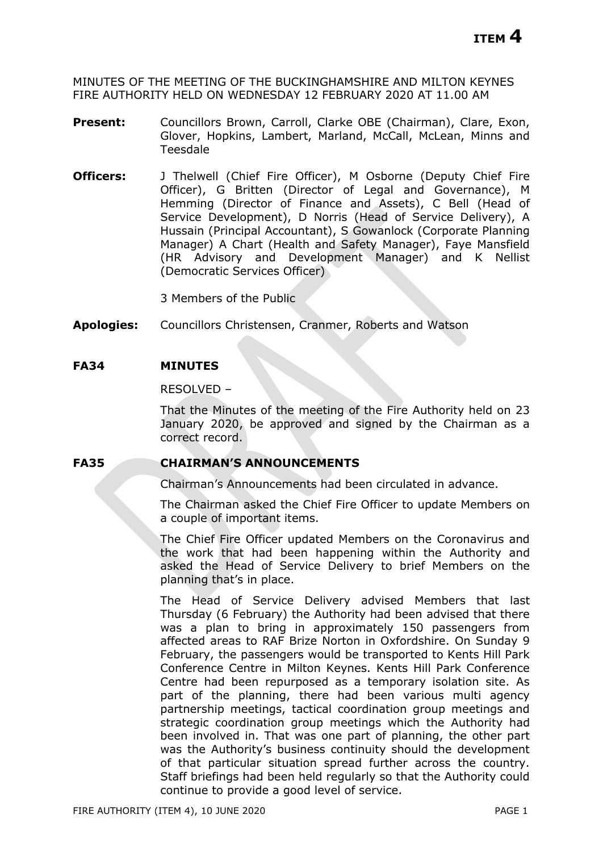MINUTES OF THE MEETING OF THE BUCKINGHAMSHIRE AND MILTON KEYNES FIRE AUTHORITY HELD ON WEDNESDAY 12 FEBRUARY 2020 AT 11.00 AM

- **Present:** Councillors Brown, Carroll, Clarke OBE (Chairman), Clare, Exon, Glover, Hopkins, Lambert, Marland, McCall, McLean, Minns and Teesdale
- **Officers:** J Thelwell (Chief Fire Officer), M Osborne (Deputy Chief Fire Officer), G Britten (Director of Legal and Governance), M Hemming (Director of Finance and Assets), C Bell (Head of Service Development), D Norris (Head of Service Delivery), A Hussain (Principal Accountant), S Gowanlock (Corporate Planning Manager) A Chart (Health and Safety Manager), Faye Mansfield (HR Advisory and Development Manager) and K Nellist (Democratic Services Officer)

3 Members of the Public

**Apologies:** Councillors Christensen, Cranmer, Roberts and Watson

### **FA34 MINUTES**

RESOLVED –

That the Minutes of the meeting of the Fire Authority held on 23 January 2020, be approved and signed by the Chairman as a correct record.

### **FA35 CHAIRMAN'S ANNOUNCEMENTS**

Chairman's Announcements had been circulated in advance.

The Chairman asked the Chief Fire Officer to update Members on a couple of important items.

The Chief Fire Officer updated Members on the Coronavirus and the work that had been happening within the Authority and asked the Head of Service Delivery to brief Members on the planning that's in place.

The Head of Service Delivery advised Members that last Thursday (6 February) the Authority had been advised that there was a plan to bring in approximately 150 passengers from affected areas to RAF Brize Norton in Oxfordshire. On Sunday 9 February, the passengers would be transported to Kents Hill Park Conference Centre in Milton Keynes. Kents Hill Park Conference Centre had been repurposed as a temporary isolation site. As part of the planning, there had been various multi agency partnership meetings, tactical coordination group meetings and strategic coordination group meetings which the Authority had been involved in. That was one part of planning, the other part was the Authority's business continuity should the development of that particular situation spread further across the country. Staff briefings had been held regularly so that the Authority could continue to provide a good level of service.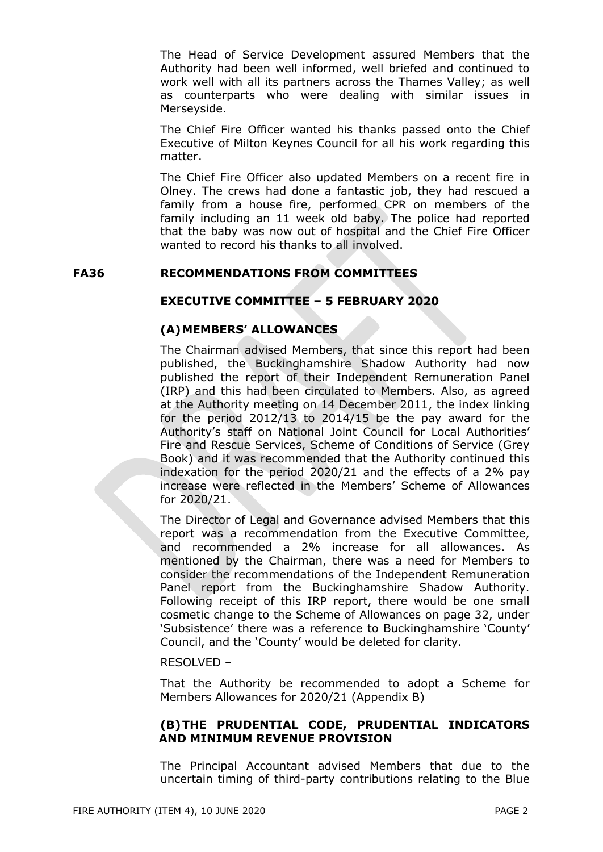The Head of Service Development assured Members that the Authority had been well informed, well briefed and continued to work well with all its partners across the Thames Valley; as well as counterparts who were dealing with similar issues in Merseyside.

The Chief Fire Officer wanted his thanks passed onto the Chief Executive of Milton Keynes Council for all his work regarding this matter.

The Chief Fire Officer also updated Members on a recent fire in Olney. The crews had done a fantastic job, they had rescued a family from a house fire, performed CPR on members of the family including an 11 week old baby. The police had reported that the baby was now out of hospital and the Chief Fire Officer wanted to record his thanks to all involved.

### **FA36 RECOMMENDATIONS FROM COMMITTEES**

# **EXECUTIVE COMMITTEE – 5 FEBRUARY 2020**

# **(A)MEMBERS' ALLOWANCES**

The Chairman advised Members, that since this report had been published, the Buckinghamshire Shadow Authority had now published the report of their Independent Remuneration Panel (IRP) and this had been circulated to Members. Also, as agreed at the Authority meeting on 14 December 2011, the index linking for the period 2012/13 to 2014/15 be the pay award for the Authority's staff on National Joint Council for Local Authorities' Fire and Rescue Services, Scheme of Conditions of Service (Grey Book) and it was recommended that the Authority continued this indexation for the period 2020/21 and the effects of a 2% pay increase were reflected in the Members' Scheme of Allowances for 2020/21.

The Director of Legal and Governance advised Members that this report was a recommendation from the Executive Committee, and recommended a 2% increase for all allowances. As mentioned by the Chairman, there was a need for Members to consider the recommendations of the Independent Remuneration Panel report from the Buckinghamshire Shadow Authority. Following receipt of this IRP report, there would be one small cosmetic change to the Scheme of Allowances on page 32, under 'Subsistence' there was a reference to Buckinghamshire 'County' Council, and the 'County' would be deleted for clarity.

### RESOLVED –

That the Authority be recommended to adopt a Scheme for Members Allowances for 2020/21 (Appendix B)

# **(B)THE PRUDENTIAL CODE, PRUDENTIAL INDICATORS AND MINIMUM REVENUE PROVISION**

The Principal Accountant advised Members that due to the uncertain timing of third-party contributions relating to the Blue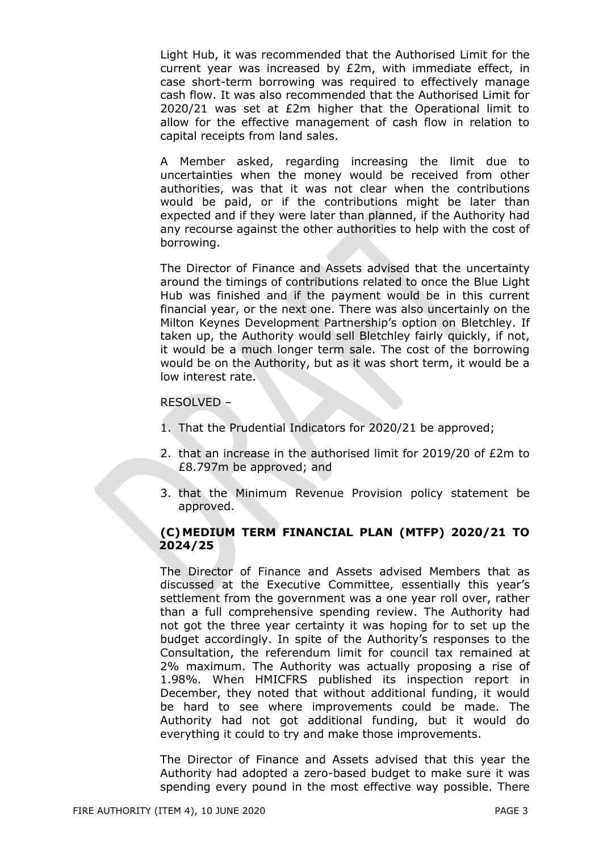Light Hub, it was recommended that the Authorised Limit for the current year was increased by £2m, with immediate effect, in case short-term borrowing was required to effectively manage cash flow. It was also recommended that the Authorised Limit for 2020/21 was set at £2m higher that the Operational limit to allow for the effective management of cash flow in relation to capital receipts from land sales.

A Member asked, regarding increasing the limit due to uncertainties when the money would be received from other authorities, was that it was not clear when the contributions would be paid, or if the contributions might be later than expected and if they were later than planned, if the Authority had any recourse against the other authorities to help with the cost of borrowing.

The Director of Finance and Assets advised that the uncertainty around the timings of contributions related to once the Blue Light Hub was finished and if the payment would be in this current financial year, or the next one. There was also uncertainly on the Milton Keynes Development Partnership's option on Bletchley. If taken up, the Authority would sell Bletchley fairly quickly, if not, it would be a much longer term sale. The cost of the borrowing would be on the Authority, but as it was short term, it would be a low interest rate.

### RESOLVED –

- 1. That the Prudential Indicators for 2020/21 be approved;
- 2. that an increase in the authorised limit for 2019/20 of £2m to £8.797m be approved; and
- 3. that the Minimum Revenue Provision policy statement be approved.

# **(C)MEDIUM TERM FINANCIAL PLAN (MTFP) 2020/21 TO 2024/25**

The Director of Finance and Assets advised Members that as discussed at the Executive Committee, essentially this year's settlement from the government was a one year roll over, rather than a full comprehensive spending review. The Authority had not got the three year certainty it was hoping for to set up the budget accordingly. In spite of the Authority's responses to the Consultation, the referendum limit for council tax remained at 2% maximum. The Authority was actually proposing a rise of 1.98%. When HMICFRS published its inspection report in December, they noted that without additional funding, it would be hard to see where improvements could be made. The Authority had not got additional funding, but it would do everything it could to try and make those improvements.

The Director of Finance and Assets advised that this year the Authority had adopted a zero-based budget to make sure it was spending every pound in the most effective way possible. There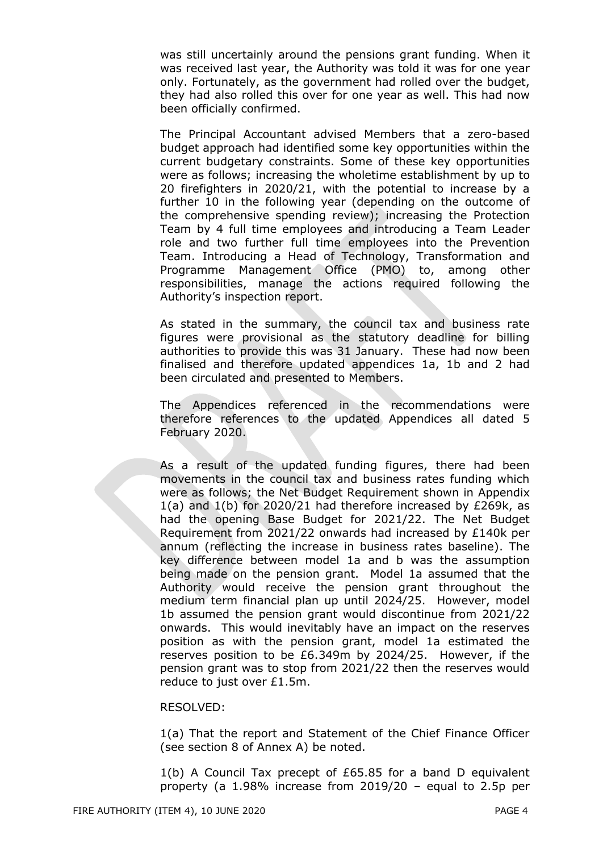was still uncertainly around the pensions grant funding. When it was received last year, the Authority was told it was for one year only. Fortunately, as the government had rolled over the budget, they had also rolled this over for one year as well. This had now been officially confirmed.

The Principal Accountant advised Members that a zero-based budget approach had identified some key opportunities within the current budgetary constraints. Some of these key opportunities were as follows; increasing the wholetime establishment by up to 20 firefighters in 2020/21, with the potential to increase by a further 10 in the following year (depending on the outcome of the comprehensive spending review); increasing the Protection Team by 4 full time employees and introducing a Team Leader role and two further full time employees into the Prevention Team. Introducing a Head of Technology, Transformation and Programme Management Office (PMO) to, among other responsibilities, manage the actions required following the Authority's inspection report.

As stated in the summary, the council tax and business rate figures were provisional as the statutory deadline for billing authorities to provide this was 31 January. These had now been finalised and therefore updated appendices 1a, 1b and 2 had been circulated and presented to Members.

The Appendices referenced in the recommendations were therefore references to the updated Appendices all dated 5 February 2020.

As a result of the updated funding figures, there had been movements in the council tax and business rates funding which were as follows; the Net Budget Requirement shown in Appendix 1(a) and 1(b) for 2020/21 had therefore increased by £269k, as had the opening Base Budget for 2021/22. The Net Budget Requirement from 2021/22 onwards had increased by £140k per annum (reflecting the increase in business rates baseline). The key difference between model 1a and b was the assumption being made on the pension grant. Model 1a assumed that the Authority would receive the pension grant throughout the medium term financial plan up until 2024/25. However, model 1b assumed the pension grant would discontinue from 2021/22 onwards. This would inevitably have an impact on the reserves position as with the pension grant, model 1a estimated the reserves position to be £6.349m by 2024/25. However, if the pension grant was to stop from 2021/22 then the reserves would reduce to just over £1.5m.

#### RESOLVED:

1(a) That the report and Statement of the Chief Finance Officer (see section 8 of Annex A) be noted.

1(b) A Council Tax precept of £65.85 for a band D equivalent property (a 1.98% increase from 2019/20 – equal to 2.5p per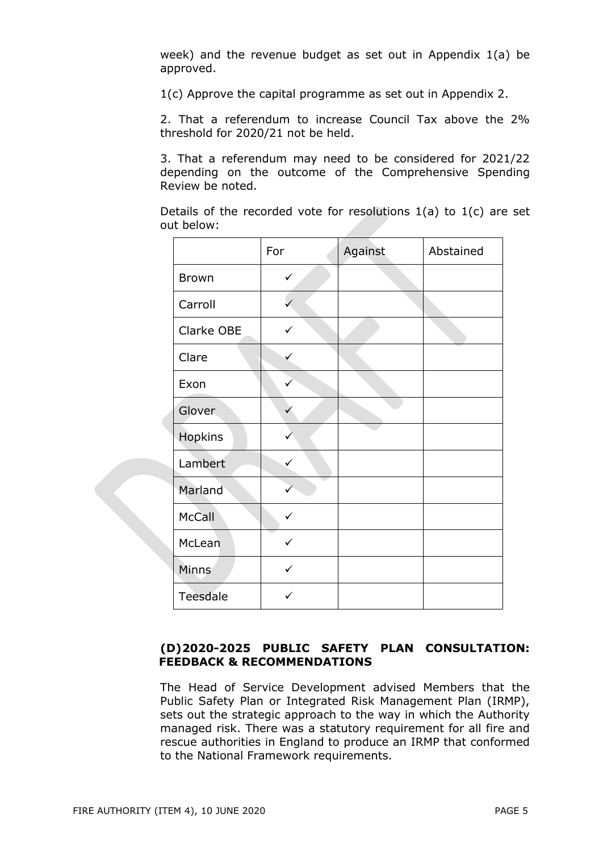week) and the revenue budget as set out in Appendix 1(a) be approved.

1(c) Approve the capital programme as set out in Appendix 2.

2. That a referendum to increase Council Tax above the 2% threshold for 2020/21 not be held.

3. That a referendum may need to be considered for 2021/22 depending on the outcome of the Comprehensive Spending Review be noted.

Details of the recorded vote for resolutions  $1(a)$  to  $1(c)$  are set out below:

|              | For          | Against | Abstained |
|--------------|--------------|---------|-----------|
| <b>Brown</b> | $\checkmark$ |         |           |
| Carroll      |              |         |           |
| Clarke OBE   | $\checkmark$ |         |           |
| Clare        |              |         |           |
| Exon         |              |         |           |
| Glover       | $\checkmark$ |         |           |
| Hopkins      |              |         |           |
| Lambert      |              |         |           |
| Marland      |              |         |           |
| McCall       | $\checkmark$ |         |           |
| McLean       | ✓            |         |           |
| Minns        | $\checkmark$ |         |           |
| Teesdale     | $\checkmark$ |         |           |

# **(D)2020-2025 PUBLIC SAFETY PLAN CONSULTATION: FEEDBACK & RECOMMENDATIONS**

The Head of Service Development advised Members that the Public Safety Plan or Integrated Risk Management Plan (IRMP), sets out the strategic approach to the way in which the Authority managed risk. There was a statutory requirement for all fire and rescue authorities in England to produce an IRMP that conformed to the National Framework requirements.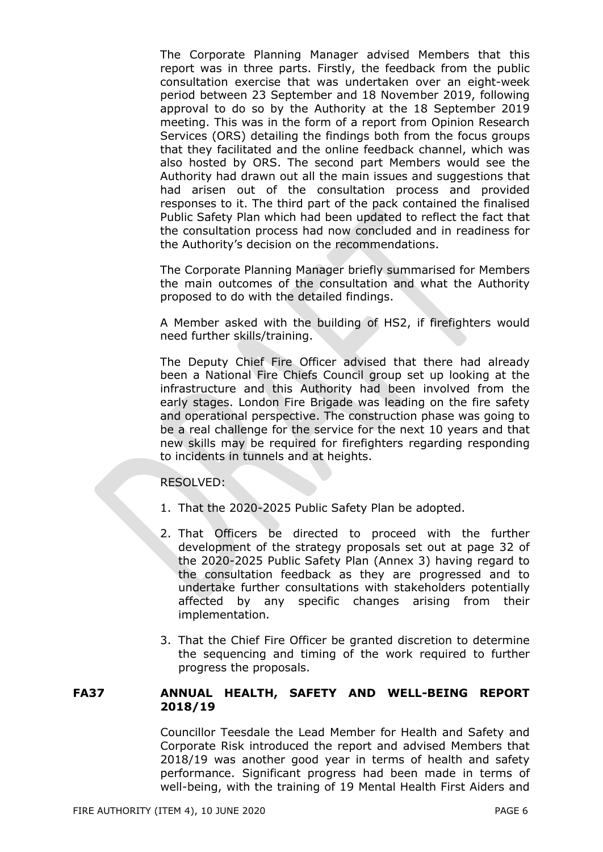The Corporate Planning Manager advised Members that this report was in three parts. Firstly, the feedback from the public consultation exercise that was undertaken over an eight-week period between 23 September and 18 November 2019, following approval to do so by the Authority at the 18 September 2019 meeting. This was in the form of a report from Opinion Research Services (ORS) detailing the findings both from the focus groups that they facilitated and the online feedback channel, which was also hosted by ORS. The second part Members would see the Authority had drawn out all the main issues and suggestions that had arisen out of the consultation process and provided responses to it. The third part of the pack contained the finalised Public Safety Plan which had been updated to reflect the fact that the consultation process had now concluded and in readiness for the Authority's decision on the recommendations.

The Corporate Planning Manager briefly summarised for Members the main outcomes of the consultation and what the Authority proposed to do with the detailed findings.

A Member asked with the building of HS2, if firefighters would need further skills/training.

The Deputy Chief Fire Officer advised that there had already been a National Fire Chiefs Council group set up looking at the infrastructure and this Authority had been involved from the early stages. London Fire Brigade was leading on the fire safety and operational perspective. The construction phase was going to be a real challenge for the service for the next 10 years and that new skills may be required for firefighters regarding responding to incidents in tunnels and at heights.

### RESOLVED:

- 1. That the 2020-2025 Public Safety Plan be adopted.
- 2. That Officers be directed to proceed with the further development of the strategy proposals set out at page 32 of the 2020-2025 Public Safety Plan (Annex 3) having regard to the consultation feedback as they are progressed and to undertake further consultations with stakeholders potentially affected by any specific changes arising from their implementation.
- 3. That the Chief Fire Officer be granted discretion to determine the sequencing and timing of the work required to further progress the proposals.

# **FA37 ANNUAL HEALTH, SAFETY AND WELL-BEING REPORT 2018/19**

Councillor Teesdale the Lead Member for Health and Safety and Corporate Risk introduced the report and advised Members that 2018/19 was another good year in terms of health and safety performance. Significant progress had been made in terms of well-being, with the training of 19 Mental Health First Aiders and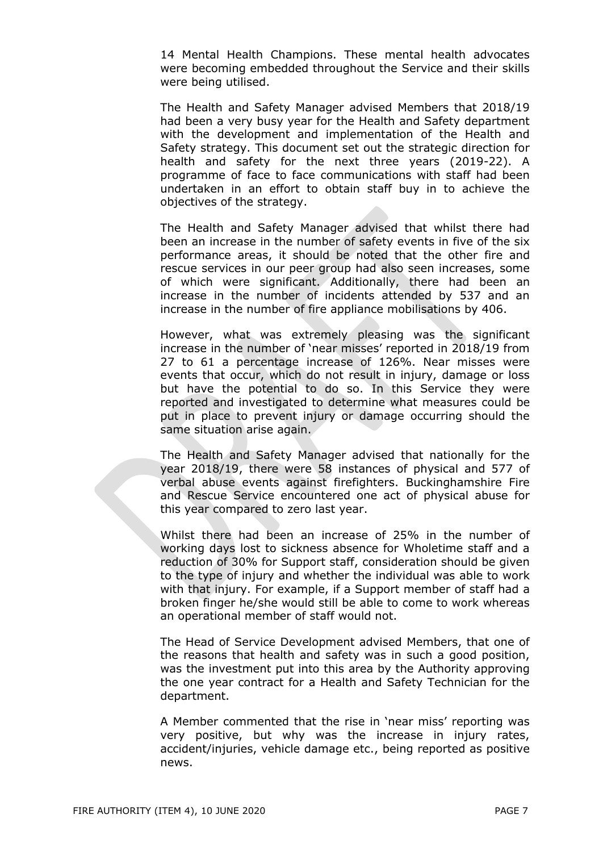14 Mental Health Champions. These mental health advocates were becoming embedded throughout the Service and their skills were being utilised.

The Health and Safety Manager advised Members that 2018/19 had been a very busy year for the Health and Safety department with the development and implementation of the Health and Safety strategy. This document set out the strategic direction for health and safety for the next three years (2019-22). A programme of face to face communications with staff had been undertaken in an effort to obtain staff buy in to achieve the objectives of the strategy.

The Health and Safety Manager advised that whilst there had been an increase in the number of safety events in five of the six performance areas, it should be noted that the other fire and rescue services in our peer group had also seen increases, some of which were significant. Additionally, there had been an increase in the number of incidents attended by 537 and an increase in the number of fire appliance mobilisations by 406.

However, what was extremely pleasing was the significant increase in the number of 'near misses' reported in 2018/19 from 27 to 61 a percentage increase of 126%. Near misses were events that occur, which do not result in injury, damage or loss but have the potential to do so. In this Service they were reported and investigated to determine what measures could be put in place to prevent injury or damage occurring should the same situation arise again.

The Health and Safety Manager advised that nationally for the year 2018/19, there were 58 instances of physical and 577 of verbal abuse events against firefighters. Buckinghamshire Fire and Rescue Service encountered one act of physical abuse for this year compared to zero last year.

Whilst there had been an increase of 25% in the number of working days lost to sickness absence for Wholetime staff and a reduction of 30% for Support staff, consideration should be given to the type of injury and whether the individual was able to work with that injury. For example, if a Support member of staff had a broken finger he/she would still be able to come to work whereas an operational member of staff would not.

The Head of Service Development advised Members, that one of the reasons that health and safety was in such a good position, was the investment put into this area by the Authority approving the one year contract for a Health and Safety Technician for the department.

A Member commented that the rise in 'near miss' reporting was very positive, but why was the increase in injury rates, accident/injuries, vehicle damage etc., being reported as positive news.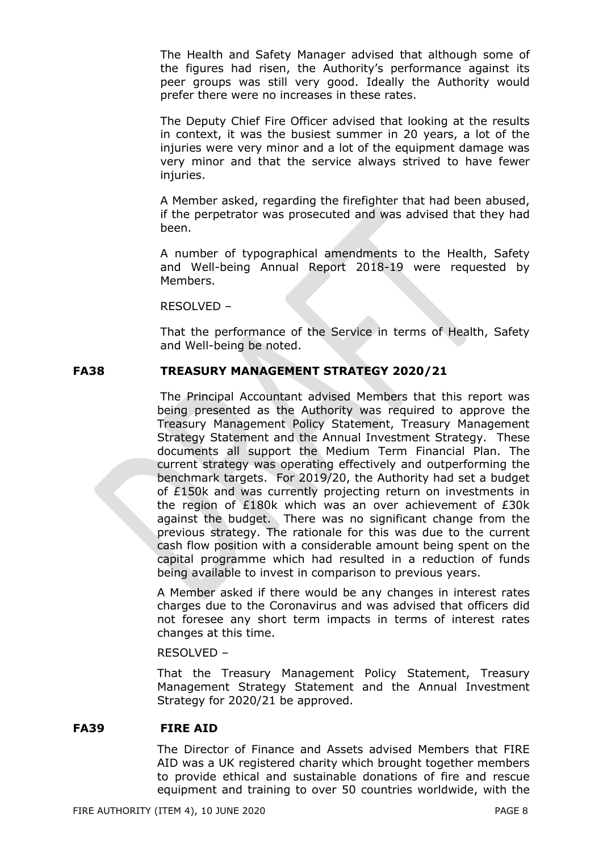The Health and Safety Manager advised that although some of the figures had risen, the Authority's performance against its peer groups was still very good. Ideally the Authority would prefer there were no increases in these rates.

The Deputy Chief Fire Officer advised that looking at the results in context, it was the busiest summer in 20 years, a lot of the injuries were very minor and a lot of the equipment damage was very minor and that the service always strived to have fewer injuries.

A Member asked, regarding the firefighter that had been abused, if the perpetrator was prosecuted and was advised that they had been.

A number of typographical amendments to the Health, Safety and Well-being Annual Report 2018-19 were requested by Members.

RESOLVED –

That the performance of the Service in terms of Health, Safety and Well-being be noted.

# **FA38 TREASURY MANAGEMENT STRATEGY 2020/21**

The Principal Accountant advised Members that this report was being presented as the Authority was required to approve the Treasury Management Policy Statement, Treasury Management Strategy Statement and the Annual Investment Strategy. These documents all support the Medium Term Financial Plan. The current strategy was operating effectively and outperforming the benchmark targets. For 2019/20, the Authority had set a budget of £150k and was currently projecting return on investments in the region of £180k which was an over achievement of £30k against the budget. There was no significant change from the previous strategy. The rationale for this was due to the current cash flow position with a considerable amount being spent on the capital programme which had resulted in a reduction of funds being available to invest in comparison to previous years.

A Member asked if there would be any changes in interest rates charges due to the Coronavirus and was advised that officers did not foresee any short term impacts in terms of interest rates changes at this time.

RESOLVED –

That the Treasury Management Policy Statement, Treasury Management Strategy Statement and the Annual Investment Strategy for 2020/21 be approved.

### **FA39 FIRE AID**

The Director of Finance and Assets advised Members that FIRE AID was a UK registered charity which brought together members to provide ethical and sustainable donations of fire and rescue equipment and training to over 50 countries worldwide, with the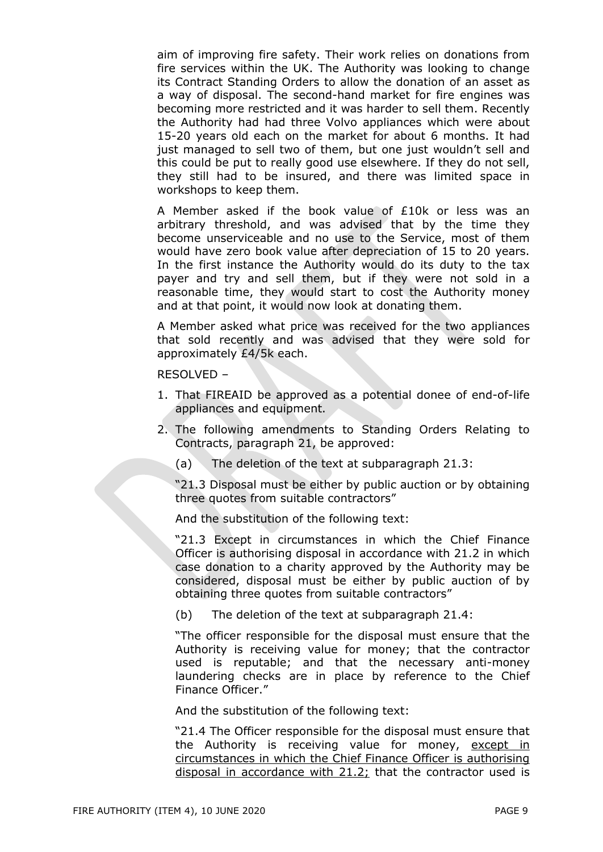aim of improving fire safety. Their work relies on donations from fire services within the UK. The Authority was looking to change its Contract Standing Orders to allow the donation of an asset as a way of disposal. The second-hand market for fire engines was becoming more restricted and it was harder to sell them. Recently the Authority had had three Volvo appliances which were about 15-20 years old each on the market for about 6 months. It had just managed to sell two of them, but one just wouldn't sell and this could be put to really good use elsewhere. If they do not sell, they still had to be insured, and there was limited space in workshops to keep them.

A Member asked if the book value of £10k or less was an arbitrary threshold, and was advised that by the time they become unserviceable and no use to the Service, most of them would have zero book value after depreciation of 15 to 20 years. In the first instance the Authority would do its duty to the tax payer and try and sell them, but if they were not sold in a reasonable time, they would start to cost the Authority money and at that point, it would now look at donating them.

A Member asked what price was received for the two appliances that sold recently and was advised that they were sold for approximately £4/5k each.

RESOLVED –

- 1. That FIREAID be approved as a potential donee of end-of-life appliances and equipment.
- 2. The following amendments to Standing Orders Relating to Contracts, paragraph 21, be approved:
	- (a) The deletion of the text at subparagraph 21.3:

"21.3 Disposal must be either by public auction or by obtaining three quotes from suitable contractors"

And the substitution of the following text:

"21.3 Except in circumstances in which the Chief Finance Officer is authorising disposal in accordance with 21.2 in which case donation to a charity approved by the Authority may be considered, disposal must be either by public auction of by obtaining three quotes from suitable contractors"

(b) The deletion of the text at subparagraph 21.4:

"The officer responsible for the disposal must ensure that the Authority is receiving value for money; that the contractor used is reputable; and that the necessary anti-money laundering checks are in place by reference to the Chief Finance Officer."

And the substitution of the following text:

"21.4 The Officer responsible for the disposal must ensure that the Authority is receiving value for money, except in circumstances in which the Chief Finance Officer is authorising disposal in accordance with 21.2; that the contractor used is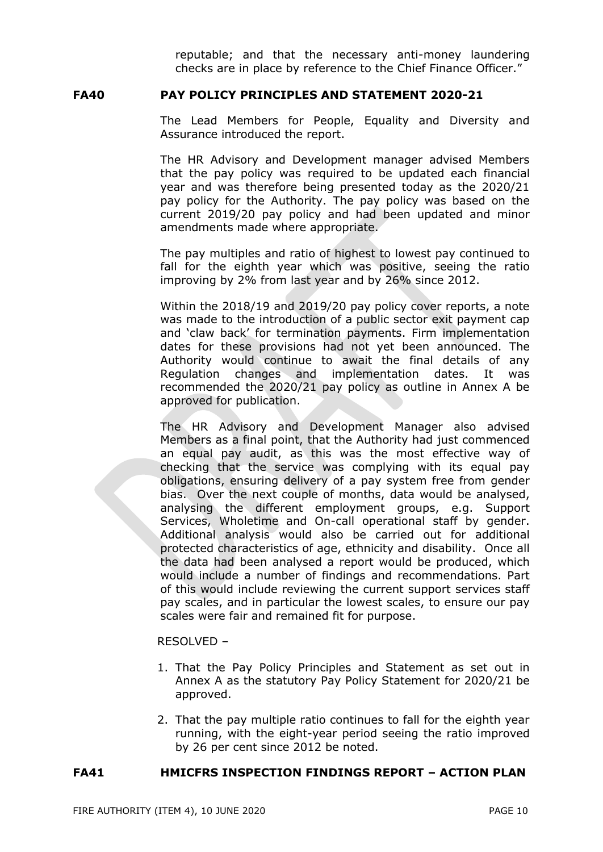reputable; and that the necessary anti-money laundering checks are in place by reference to the Chief Finance Officer."

### **FA40 PAY POLICY PRINCIPLES AND STATEMENT 2020-21**

The Lead Members for People, Equality and Diversity and Assurance introduced the report.

The HR Advisory and Development manager advised Members that the pay policy was required to be updated each financial year and was therefore being presented today as the 2020/21 pay policy for the Authority. The pay policy was based on the current 2019/20 pay policy and had been updated and minor amendments made where appropriate.

The pay multiples and ratio of highest to lowest pay continued to fall for the eighth year which was positive, seeing the ratio improving by 2% from last year and by 26% since 2012.

Within the 2018/19 and 2019/20 pay policy cover reports, a note was made to the introduction of a public sector exit payment cap and 'claw back' for termination payments. Firm implementation dates for these provisions had not yet been announced. The Authority would continue to await the final details of any Regulation changes and implementation dates. It was recommended the 2020/21 pay policy as outline in Annex A be approved for publication.

The HR Advisory and Development Manager also advised Members as a final point, that the Authority had just commenced an equal pay audit, as this was the most effective way of checking that the service was complying with its equal pay obligations, ensuring delivery of a pay system free from gender bias. Over the next couple of months, data would be analysed, analysing the different employment groups, e.g. Support Services, Wholetime and On-call operational staff by gender. Additional analysis would also be carried out for additional protected characteristics of age, ethnicity and disability. Once all the data had been analysed a report would be produced, which would include a number of findings and recommendations. Part of this would include reviewing the current support services staff pay scales, and in particular the lowest scales, to ensure our pay scales were fair and remained fit for purpose.

#### RESOLVED –

- 1. That the Pay Policy Principles and Statement as set out in Annex A as the statutory Pay Policy Statement for 2020/21 be approved.
- 2. That the pay multiple ratio continues to fall for the eighth year running, with the eight-year period seeing the ratio improved by 26 per cent since 2012 be noted.

### **FA41 HMICFRS INSPECTION FINDINGS REPORT – ACTION PLAN**